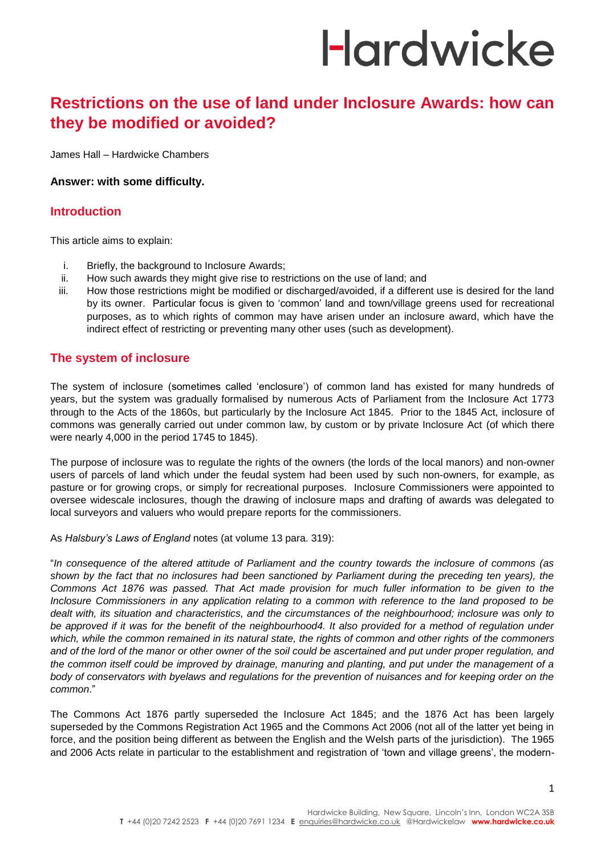### **Restrictions on the use of land under Inclosure Awards: how can they be modified or avoided?**

James Hall – Hardwicke Chambers

#### **Answer: with some difficulty.**

### **Introduction**

This article aims to explain:

- i. Briefly, the background to Inclosure Awards;
- ii. How such awards they might give rise to restrictions on the use of land; and
- iii. How those restrictions might be modified or discharged/avoided, if a different use is desired for the land by its owner. Particular focus is given to 'common' land and town/village greens used for recreational purposes, as to which rights of common may have arisen under an inclosure award, which have the indirect effect of restricting or preventing many other uses (such as development).

### **The system of inclosure**

The system of inclosure (sometimes called 'enclosure') of common land has existed for many hundreds of years, but the system was gradually formalised by numerous Acts of Parliament from the Inclosure Act 1773 through to the Acts of the 1860s, but particularly by the Inclosure Act 1845. Prior to the 1845 Act, inclosure of commons was generally carried out under common law, by custom or by private Inclosure Act (of which there were nearly 4,000 in the period 1745 to 1845).

The purpose of inclosure was to regulate the rights of the owners (the lords of the local manors) and non-owner users of parcels of land which under the feudal system had been used by such non-owners, for example, as pasture or for growing crops, or simply for recreational purposes. Inclosure Commissioners were appointed to oversee widescale inclosures, though the drawing of inclosure maps and drafting of awards was delegated to local surveyors and valuers who would prepare reports for the commissioners.

As *Halsbury's Laws of England* notes (at volume 13 para. 319):

"*In consequence of the altered attitude of Parliament and the country towards the inclosure of commons (as shown by the fact that no inclosures had been sanctioned by Parliament during the preceding ten years), the Commons Act 1876 was passed. That Act made provision for much fuller information to be given to the Inclosure Commissioners in any application relating to a common with reference to the land proposed to be dealt with, its situation and characteristics, and the circumstances of the neighbourhood; inclosure was only to*  be approved if it was for the benefit of the neighbourhood4. It also provided for a method of regulation under *which, while the common remained in its natural state, the rights of common and other rights of the commoners*  and of the lord of the manor or other owner of the soil could be ascertained and put under proper regulation, and *the common itself could be improved by drainage, manuring and planting, and put under the management of a*  body of conservators with byelaws and regulations for the prevention of nuisances and for keeping order on the *common*."

The Commons Act 1876 partly superseded the Inclosure Act 1845; and the 1876 Act has been largely superseded by the Commons Registration Act 1965 and the Commons Act 2006 (not all of the latter yet being in force, and the position being different as between the English and the Welsh parts of the jurisdiction). The 1965 and 2006 Acts relate in particular to the establishment and registration of 'town and village greens', the modern-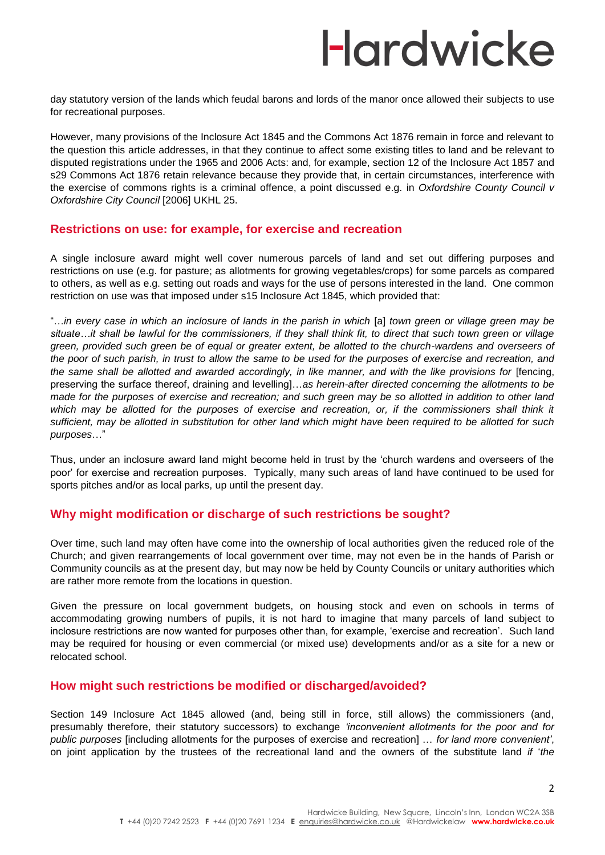day statutory version of the lands which feudal barons and lords of the manor once allowed their subjects to use for recreational purposes.

However, many provisions of the Inclosure Act 1845 and the Commons Act 1876 remain in force and relevant to the question this article addresses, in that they continue to affect some existing titles to land and be relevant to disputed registrations under the 1965 and 2006 Acts: and, for example, section 12 of the Inclosure Act 1857 and s29 Commons Act 1876 retain relevance because they provide that, in certain circumstances, interference with the exercise of commons rights is a criminal offence, a point discussed e.g. in *Oxfordshire County Council v Oxfordshire City Council* [2006] UKHL 25.

#### **Restrictions on use: for example, for exercise and recreation**

A single inclosure award might well cover numerous parcels of land and set out differing purposes and restrictions on use (e.g. for pasture; as allotments for growing vegetables/crops) for some parcels as compared to others, as well as e.g. setting out roads and ways for the use of persons interested in the land. One common restriction on use was that imposed under s15 Inclosure Act 1845, which provided that:

"…*in every case in which an inclosure of lands in the parish in which* [a] *town green or village green may be situate…it shall be lawful for the commissioners, if they shall think fit, to direct that such town green or village green, provided such green be of equal or greater extent, be allotted to the church-wardens and overseers of the poor of such parish, in trust to allow the same to be used for the purposes of exercise and recreation, and the same shall be allotted and awarded accordingly, in like manner, and with the like provisions for* [fencing, preserving the surface thereof, draining and levelling]…*as herein-after directed concerning the allotments to be made for the purposes of exercise and recreation; and such green may be so allotted in addition to other land*  which may be allotted for the purposes of exercise and recreation, or, if the commissioners shall think it *sufficient, may be allotted in substitution for other land which might have been required to be allotted for such purposes*…"

Thus, under an inclosure award land might become held in trust by the 'church wardens and overseers of the poor' for exercise and recreation purposes. Typically, many such areas of land have continued to be used for sports pitches and/or as local parks, up until the present day.

### **Why might modification or discharge of such restrictions be sought?**

Over time, such land may often have come into the ownership of local authorities given the reduced role of the Church; and given rearrangements of local government over time, may not even be in the hands of Parish or Community councils as at the present day, but may now be held by County Councils or unitary authorities which are rather more remote from the locations in question.

Given the pressure on local government budgets, on housing stock and even on schools in terms of accommodating growing numbers of pupils, it is not hard to imagine that many parcels of land subject to inclosure restrictions are now wanted for purposes other than, for example, 'exercise and recreation'. Such land may be required for housing or even commercial (or mixed use) developments and/or as a site for a new or relocated school.

### **How might such restrictions be modified or discharged/avoided?**

Section 149 Inclosure Act 1845 allowed (and, being still in force, still allows) the commissioners (and, presumably therefore, their statutory successors) to exchange *'inconvenient allotments for the poor and for public purposes* [including allotments for the purposes of exercise and recreation] … *for land more convenient'*, on joint application by the trustees of the recreational land and the owners of the substitute land *if* '*the*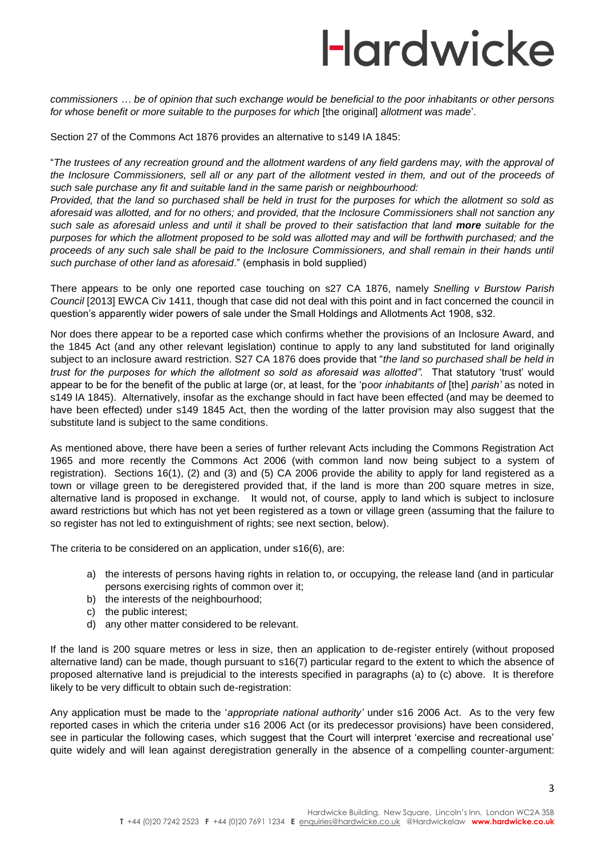*commissioners … be of opinion that such exchange would be beneficial to the poor inhabitants or other persons for whose benefit or more suitable to the purposes for which* [the original] *allotment was made*'.

Section 27 of the Commons Act 1876 provides an alternative to s149 IA 1845:

"*The trustees of any recreation ground and the allotment wardens of any field gardens may, with the approval of*  the Inclosure Commissioners, sell all or any part of the allotment vested in them, and out of the proceeds of *such sale purchase any fit and suitable land in the same parish or neighbourhood:*

*Provided, that the land so purchased shall be held in trust for the purposes for which the allotment so sold as aforesaid was allotted, and for no others; and provided, that the Inclosure Commissioners shall not sanction any such sale as aforesaid unless and until it shall be proved to their satisfaction that land more suitable for the purposes for which the allotment proposed to be sold was allotted may and will be forthwith purchased; and the*  proceeds of any such sale shall be paid to the Inclosure Commissioners, and shall remain in their hands until *such purchase of other land as aforesaid*." (emphasis in bold supplied)

There appears to be only one reported case touching on s27 CA 1876, namely *Snelling v Burstow Parish Council* [2013] EWCA Civ 1411, though that case did not deal with this point and in fact concerned the council in question's apparently wider powers of sale under the Small Holdings and Allotments Act 1908, s32.

Nor does there appear to be a reported case which confirms whether the provisions of an Inclosure Award, and the 1845 Act (and any other relevant legislation) continue to apply to any land substituted for land originally subject to an inclosure award restriction. S27 CA 1876 does provide that "*the land so purchased shall be held in trust for the purposes for which the allotment so sold as aforesaid was allotted".* That statutory 'trust' would appear to be for the benefit of the public at large (or, at least, for the 'p*oor inhabitants of* [the] *parish'* as noted in s149 IA 1845). Alternatively, insofar as the exchange should in fact have been effected (and may be deemed to have been effected) under s149 1845 Act, then the wording of the latter provision may also suggest that the substitute land is subject to the same conditions.

As mentioned above, there have been a series of further relevant Acts including the Commons Registration Act 1965 and more recently the Commons Act 2006 (with common land now being subject to a system of registration). Sections 16(1), (2) and (3) and (5) CA 2006 provide the ability to apply for land registered as a town or village green to be deregistered provided that, if the land is more than 200 square metres in size, alternative land is proposed in exchange. It would not, of course, apply to land which is subject to inclosure award restrictions but which has not yet been registered as a town or village green (assuming that the failure to so register has not led to extinguishment of rights; see next section, below).

The criteria to be considered on an application, under s16(6), are:

- a) the interests of persons having rights in relation to, or occupying, the release land (and in particular persons exercising rights of common over it;
- b) the interests of the neighbourhood;
- c) the public interest;
- d) any other matter considered to be relevant.

If the land is 200 square metres or less in size, then an application to de-register entirely (without proposed alternative land) can be made, though pursuant to s16(7) particular regard to the extent to which the absence of proposed alternative land is prejudicial to the interests specified in paragraphs (a) to (c) above. It is therefore likely to be very difficult to obtain such de-registration:

Any application must be made to the '*appropriate national authority'* under s16 2006 Act. As to the very few reported cases in which the criteria under s16 2006 Act (or its predecessor provisions) have been considered, see in particular the following cases, which suggest that the Court will interpret 'exercise and recreational use' quite widely and will lean against deregistration generally in the absence of a compelling counter-argument: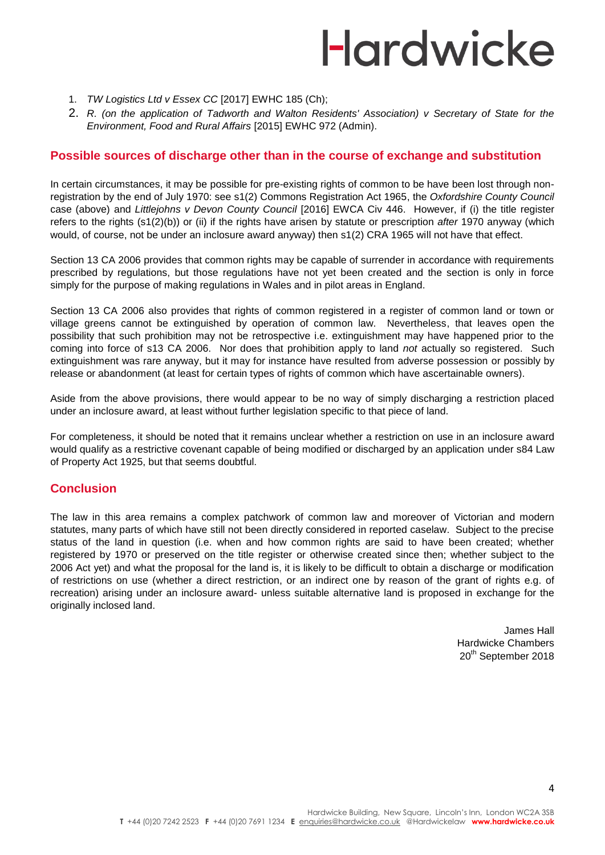- 1. *TW Logistics Ltd v Essex CC* [2017] EWHC 185 (Ch);
- 2. *R. (on the application of Tadworth and Walton Residents' Association) v Secretary of State for the Environment, Food and Rural Affairs* [2015] EWHC 972 (Admin).

#### **Possible sources of discharge other than in the course of exchange and substitution**

In certain circumstances, it may be possible for pre-existing rights of common to be have been lost through nonregistration by the end of July 1970: see s1(2) Commons Registration Act 1965, the *Oxfordshire County Council* case (above) and *Littlejohns v Devon County Council* [2016] EWCA Civ 446. However, if (i) the title register refers to the rights (s1(2)(b)) or (ii) if the rights have arisen by statute or prescription *after* 1970 anyway (which would, of course, not be under an inclosure award anyway) then s1(2) CRA 1965 will not have that effect.

Section 13 CA 2006 provides that common rights may be capable of surrender in accordance with requirements prescribed by regulations, but those regulations have not yet been created and the section is only in force simply for the purpose of making regulations in Wales and in pilot areas in England.

Section 13 CA 2006 also provides that rights of common registered in a register of common land or town or village greens cannot be extinguished by operation of common law. Nevertheless, that leaves open the possibility that such prohibition may not be retrospective i.e. extinguishment may have happened prior to the coming into force of s13 CA 2006. Nor does that prohibition apply to land *not* actually so registered. Such extinguishment was rare anyway, but it may for instance have resulted from adverse possession or possibly by release or abandonment (at least for certain types of rights of common which have ascertainable owners).

Aside from the above provisions, there would appear to be no way of simply discharging a restriction placed under an inclosure award, at least without further legislation specific to that piece of land.

For completeness, it should be noted that it remains unclear whether a restriction on use in an inclosure award would qualify as a restrictive covenant capable of being modified or discharged by an application under s84 Law of Property Act 1925, but that seems doubtful.

#### **Conclusion**

The law in this area remains a complex patchwork of common law and moreover of Victorian and modern statutes, many parts of which have still not been directly considered in reported caselaw. Subject to the precise status of the land in question (i.e. when and how common rights are said to have been created; whether registered by 1970 or preserved on the title register or otherwise created since then; whether subject to the 2006 Act yet) and what the proposal for the land is, it is likely to be difficult to obtain a discharge or modification of restrictions on use (whether a direct restriction, or an indirect one by reason of the grant of rights e.g. of recreation) arising under an inclosure award- unless suitable alternative land is proposed in exchange for the originally inclosed land.

> James Hall Hardwicke Chambers 20<sup>th</sup> September 2018